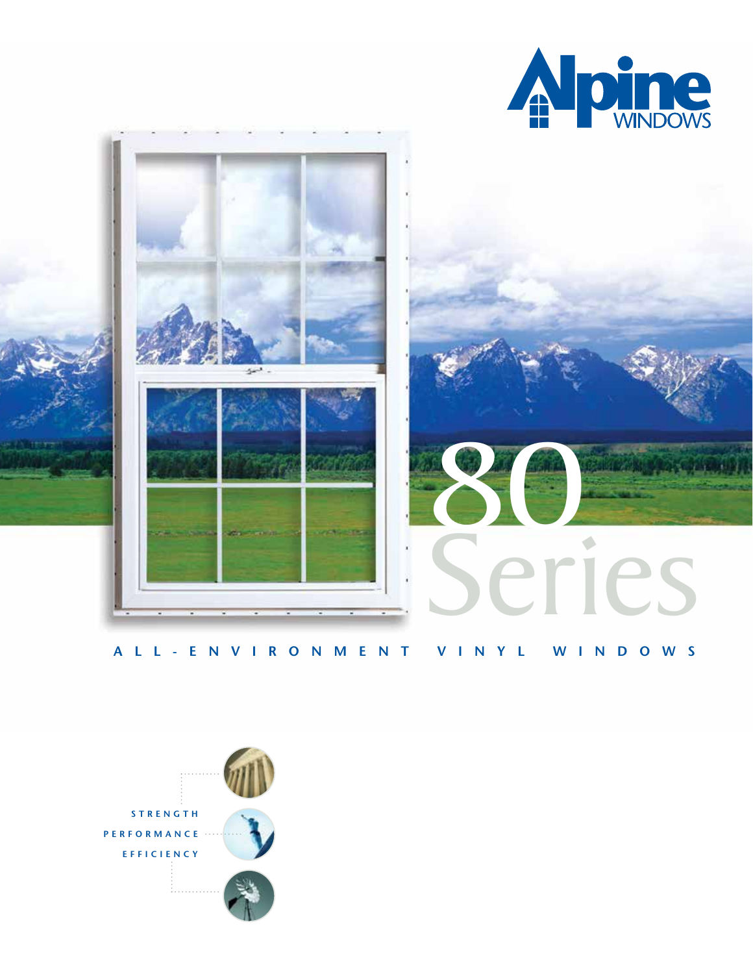



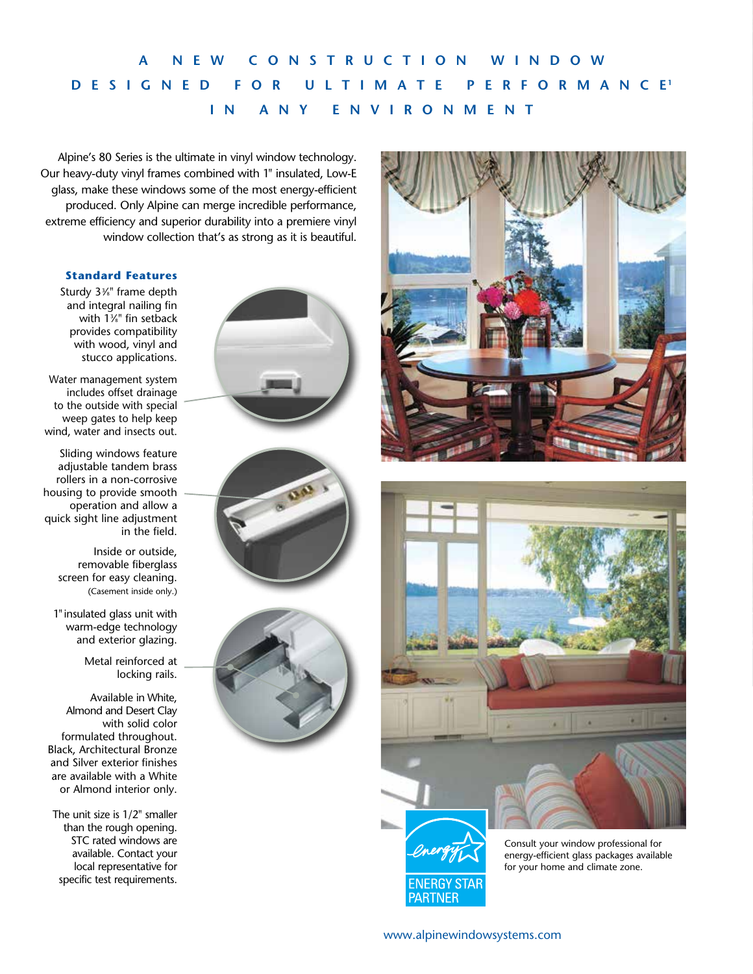# **A NEW CONSTRUCTION WINDOW DESIGNED FOR ULTIMATE PERFORMANC E <sup>1</sup> IN ANY ENVIRONMENT**

Alpine's 80 Series is the ultimate in vinyl window technology. Our heavy-duty vinyl frames combined with 1" insulated, Low-E glass, make these windows some of the most energy-efficient produced. Only Alpine can merge incredible performance, extreme efficiency and superior durability into a premiere vinyl window collection that's as strong as it is beautiful.

#### **Standard Features**

Sturdy 33 ⁄8" frame depth and integral nailing fin with 13 ⁄8" fin setback provides compatibility with wood, vinyl and stucco applications.

Water management system includes offset drainage to the outside with special weep gates to help keep wind, water and insects out.

Sliding windows feature adjustable tandem brass rollers in a non-corrosive housing to provide smooth operation and allow a quick sight line adjustment in the field.

> Inside or outside, removable fiberglass screen for easy cleaning. (Casement inside only.)

1"insulated glass unit with warm-edge technology and exterior glazing.

> Metal reinforced at locking rails.

Available in White, Almond and Desert Clay with solid color formulated throughout. Black, Architectural Bronze and Silver exterior finishes are available with a White or Almond interior only.

The unit size is 1/2" smaller than the rough opening. STC rated windows are available. Contact your local representative for specific test requirements.











Consult your window professional for energy-efficient glass packages available for your home and climate zone.

[www.alpinewindowsystems.com](http://www.alpinewindowsystems.com)

ENERGY STAR **PARTNER**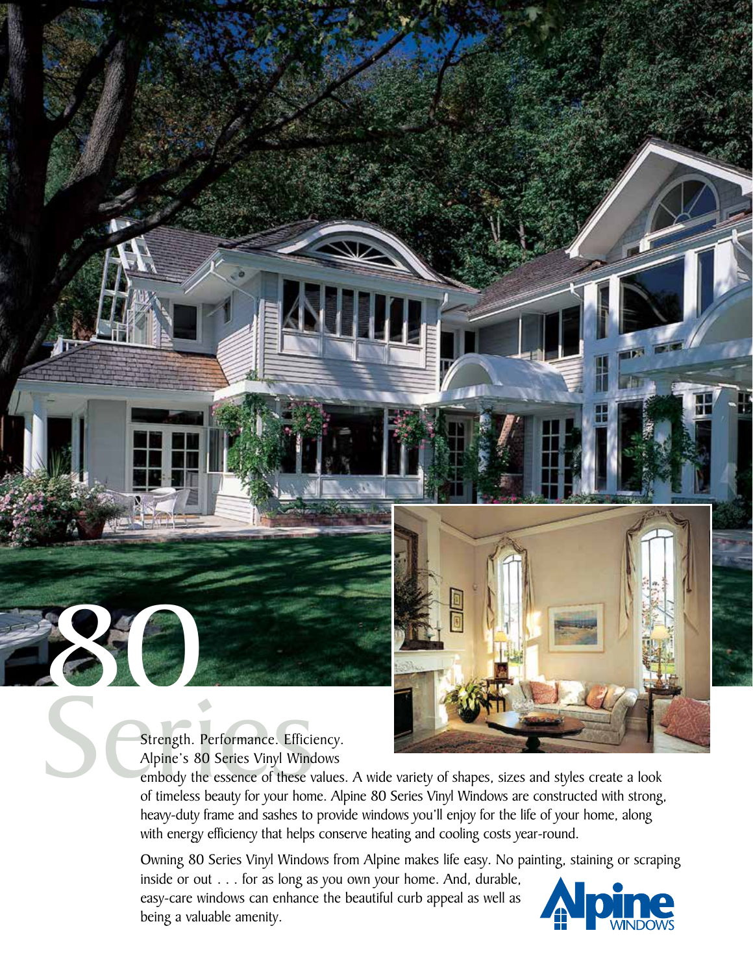

Alpine's 80 Series Vinyl Windows

880

embody the essence of these values. A wide variety of shapes, sizes and styles create a look heavy-duty frame and sashes to provide windows you'll enjoy for the life of your home, along with energy efficiency that helps conserve heating and cooling costs year-round.

Owning 80 Series Vinyl Windows from Alpine makes life easy. No painting, staining or scraping inside or out . . . for as long as you own your home. And, durable, easy-care windows can enhance the beautiful curb appeal as well as being a valuable amenity.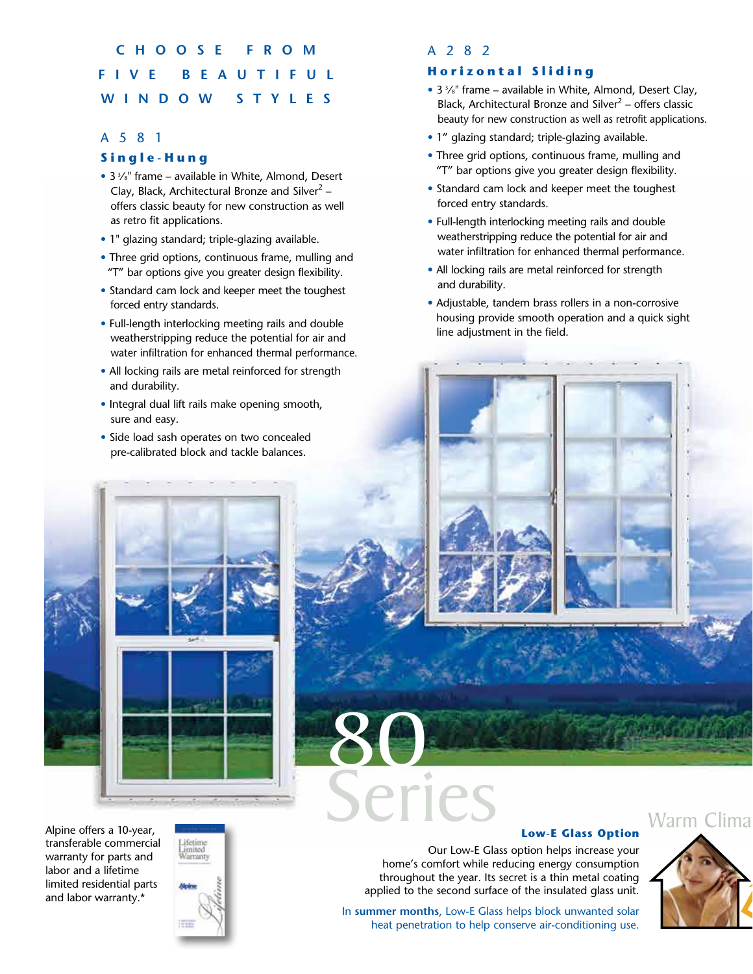## **C H O O S E F R O M FIV E B E A U T I F U L WINDOW STYLES**

## A581

## **Single-Hung**

- 3 <sup>3</sup>/<sub>8</sub>" frame available in White, Almond, Desert Clay, Black, Architectural Bronze and Silver<sup>2</sup> – offers classic beauty for new construction as well as retro fit applications.
- 1" glazing standard; triple-glazing available.
- Three grid options, continuous frame, mulling and "T" bar options give you greater design flexibility.
- Standard cam lock and keeper meet the toughest forced entry standards.
- Full-length interlocking meeting rails and double weatherstripping reduce the potential for air and water infiltration for enhanced thermal performance.
- All locking rails are metal reinforced for strength and durability.
- Integral dual lift rails make opening smooth, sure and easy.
- Side load sash operates on two concealed pre-calibrated block and tackle balances.

## A282

## **Horizontal Sliding**

- 3 <sup>3</sup>/<sub>8</sub>" frame available in White, Almond, Desert Clay, Black, Architectural Bronze and Silver<sup>2</sup> – offers classic beauty for new construction as well as retrofit applications.
- 1" glazing standard; triple-glazing available.
- Three grid options, continuous frame, mulling and "T" bar options give you greater design flexibility.
- Standard cam lock and keeper meet the toughest forced entry standards.
- Full-length interlocking meeting rails and double weatherstripping reduce the potential for air and water infiltration for enhanced thermal performance.
- All locking rails are metal reinforced for strength and durability.
- Adjustable, tandem brass rollers in a non-corrosive housing provide smooth operation and a quick sight line adjustment in the field.



Alpine offers a 10-year, [transferable commercial](www.alpinewindowsystems.com)  warranty for parts and labor and a lifetime limited residential parts and labor warranty.\*



### **Low-E Glass Option**

Our Low-E Glass option helps increase your home's comfort while reducing energy consumption throughout the year. Its secret is a thin metal coating applied to the second surface of the insulated glass unit.

In **summer months**, Low-E Glass helps block unwanted solar heat penetration to help conserve air-conditioning use.

80

Series



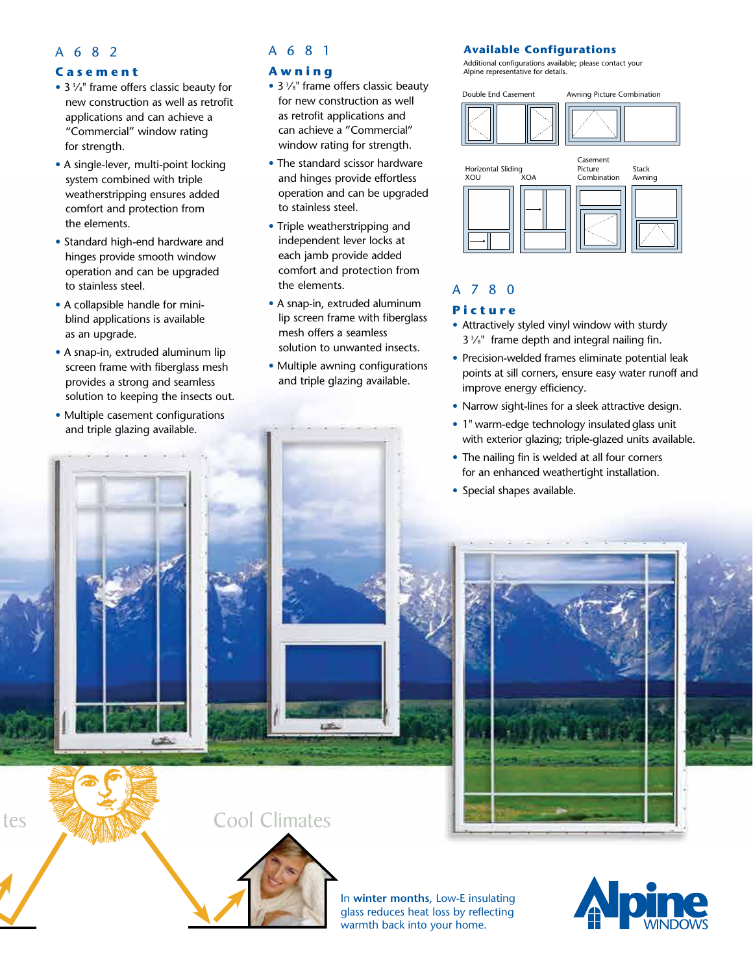## A682

#### **Casement**

- $\bullet$  3  $\frac{3}{8}$ " frame offers classic beauty for new construction as well as retrofit applications and can achieve a "Commercial" window rating for strength.
- A single-lever, multi-point locking system combined with triple weatherstripping ensures added comfort and protection from the elements.
- Standard high-end hardware and hinges provide smooth window operation and can be upgraded to stainless steel.
- A collapsible handle for miniblind applications is available as an upgrade.
- A snap-in, extruded aluminum lip screen frame with fiberglass mesh provides a strong and seamless solution to keeping the insects out.
- Multiple casement configurations and triple glazing available.

## A681

## **Awning**

- 3 <sup>3</sup>/<sub>8</sub>" frame offers classic beauty for new construction as well as retrofit applications and can achieve a "Commercial" window rating for strength.
- The standard scissor hardware and hinges provide effortless operation and can be upgraded to stainless steel.
- Triple weatherstripping and independent lever locks at each jamb provide added comfort and protection from the elements.
- A snap-in, extruded aluminum lip screen frame with fiberglass mesh offers a seamless solution to unwanted insects.
- Multiple awning configurations and triple glazing available.

## **Available Configurations**

Additional configurations available; please contact your Alpine representative for details.





## A780

#### **Picture**

- Attractively styled vinyl window with sturdy  $3\frac{3}{8}$ " frame depth and integral nailing fin.
- Precision-welded frames eliminate potential leak points at sill corners, ensure easy water runoff and improve energy efficiency.
- Narrow sight-lines for a sleek attractive design.
- 1" warm-edge technology insulated glass unit with exterior glazing; triple-glazed units available.
- The nailing fin is welded at all four corners for an enhanced weathertight installation.
- Special shapes available.



## Cool Climates



In **winter months**, Low-E insulating glass reduces heat loss by reflecting warmth back into your home.



tes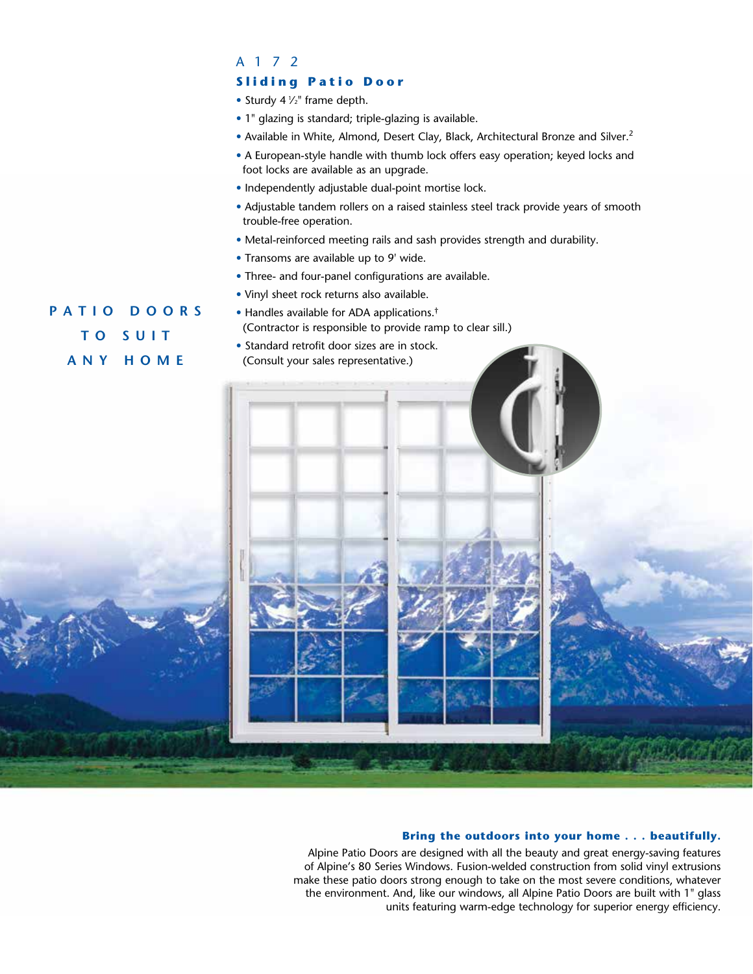## A172

## **Sliding Patio Door**

• Sturdy 4  $\frac{1}{2}$ " frame depth.

- 1" glazing is standard; triple-glazing is available.
- Available in White, Almond, Desert Clay, Black, Architectural Bronze and Silver.<sup>2</sup>
- A European-style handle with thumb lock offers easy operation; keyed locks and foot locks are available as an upgrade.
- Independently adjustable dual-point mortise lock.
- Adjustable tandem rollers on a raised stainless steel track provide years of smooth trouble-free operation.
- Metal-reinforced meeting rails and sash provides strength and durability.
- Transoms are available up to 9' wide.
- Three- and four-panel configurations are available.

(Contractor is responsible to provide ramp to clear sill.)

• Vinyl sheet rock returns also available. • Handles available for ADA applications.†

# **P A T I O D O O R S T O S U I T ANY HOME**

• Standard retrofit door sizes are in stock. (Consult your sales representative.)

#### **Bring the outdoors into your home . . . beautifully.**

Alpine Patio Doors are designed with all the beauty and great energy-saving features of Alpine's 80 Series Windows. Fusion-welded construction from solid vinyl extrusions make these patio doors strong enough to take on the most severe conditions, whatever the environment. And, like our windows, all Alpine Patio Doors are built with 1" glass units featuring warm-edge technology for superior energy efficiency.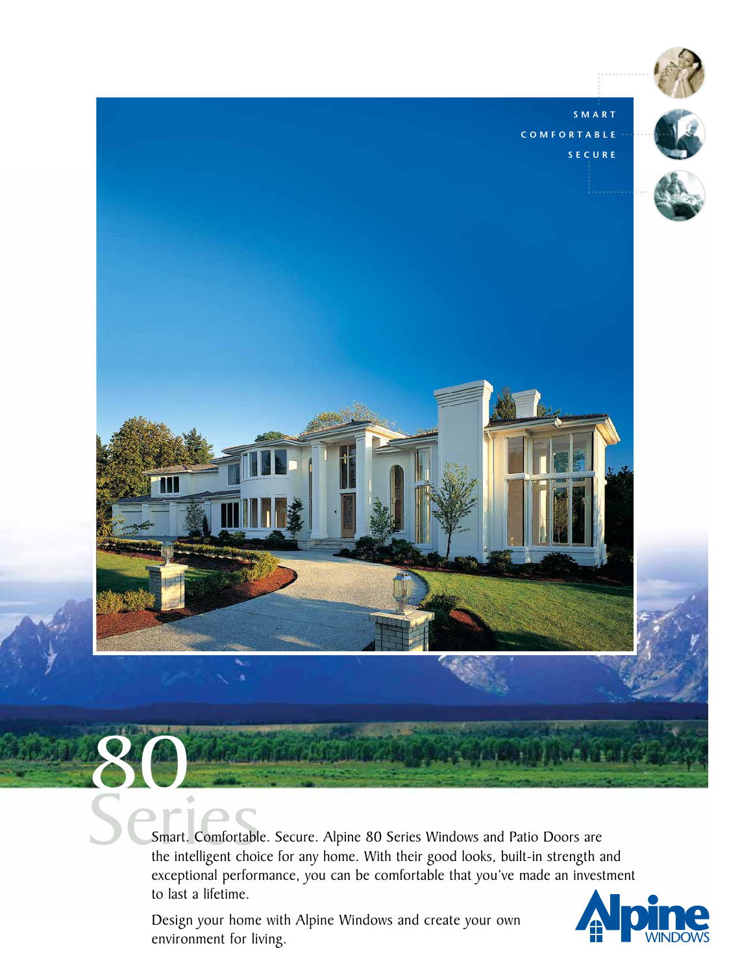

Smart. Comfortable. Secure. Alpine 80 Series Windows and Patio Doors are exceptional performance, you can be comfortable that you've made an investment to last a lifetime.

Design your home with Alpine Windows and create your own environment for living.